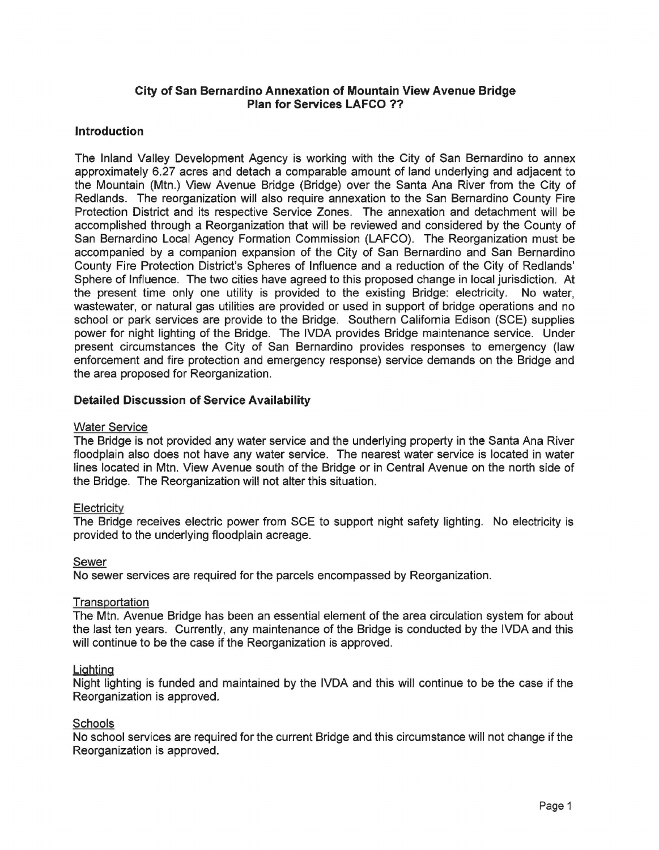# **City of San Bernardino Annexation of Mountain View Avenue Bridge Plan for Services LAFCO** ??

## **Introduction**

The Inland Valley Development Agency is working with the City of San Bernardino to annex approximately 6.27 acres and detach a comparable amount of land underlying and adjacent to the Mountain (Mtn.) View Avenue Bridge (Bridge) over the Santa Ana River from the City of Redlands. The reorganization will also require annexation to the San Bernardino County Fire Protection District and its respective Service Zones. The annexation and detachment will be accomplished through a Reorganization that will be reviewed and considered by the County of San Bernardino Local Agency Formation Commission (LAFCO). The Reorganization must be accompanied by a companion expansion of the City of San Bernardino and San Bernardino County Fire Protection District's Spheres of Influence and a reduction of the City of Redlands' Sphere of Influence. The two cities have agreed to this proposed change in local jurisdiction. At the present time only one utility is provided to the existing Bridge: electricity. No water, wastewater, or natural gas utilities are provided or used in support of bridge operations and no school or park services are provide to the Bridge. Southern California Edison (SCE) supplies power for night lighting of the Bridge. The IVDA provides Bridge maintenance service. Under present circumstances the City of San Bernardino provides responses to emergency (law enforcement and fire protection and emergency response) service demands on the Bridge and the area proposed for Reorganization.

# **Detailed Discussion of Service Availability**

## Water Service

The Bridge is not provided any water service and the underlying property in the Santa Ana River floodplain also does not have any water service. The nearest water service is located in water lines located in Mtn. View Avenue south of the Bridge or in Central Avenue on the north side of the Bridge. The Reorganization will not alter this situation.

## **Electricity**

The Bridge receives electric power from SCE to support night safety lighting. No electricity is provided to the underlying floodplain acreage.

## Sewer

No sewer services are required for the parcels encompassed by Reorganization.

## **Transportation**

The Mtn. Avenue Bridge has been an essential element of the area circulation system for about the last ten years. Currently, any maintenance of the Bridge is conducted by the IVDA and this will continue to be the case if the Reorganization is approved.

## Lighting

Night lighting is funded and maintained by the IVDA and this will continue to be the case if the Reorganization is approved.

## Schools

No school services are required for the current Bridge and this circumstance will not change if the Reorganization is approved.